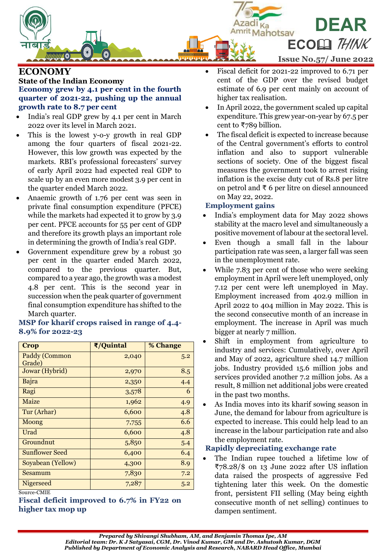

# **ECONOMY State of the Indian Economy Economy grew by 4.1 per cent in the fourth quarter of 2021-22, pushing up the annual growth rate to 8.7 per cent**

- India's real GDP grew by 4.1 per cent in March 2022 over its level in March 2021.
- This is the lowest y-o-y growth in real GDP among the four quarters of fiscal 2021-22. However, this low growth was expected by the markets. RBI's professional forecasters' survey of early April 2022 had expected real GDP to scale up by an even more modest 3.9 per cent in the quarter ended March 2022.
- Anaemic growth of 1.76 per cent was seen in private final consumption expenditure (PFCE) while the markets had expected it to grow by 3.9 per cent. PFCE accounts for 55 per cent of GDP and therefore its growth plays an important role in determining the growth of India's real GDP.
- Government expenditure grew by a robust 30 per cent in the quarter ended March 2022, compared to the previous quarter. But, compared to a year ago, the growth was a modest 4.8 per cent. This is the second year in succession when the peak quarter of government final consumption expenditure has shifted to the March quarter.

# **Crop ₹/Quintal % Change** Paddy (Common Grade)  $2,040$  5.2  $Jowar(Hybrid)$  2,970 8.5 Bajra 2,350 4.4 Ragi 3,578 6 Maize 1,962 **1,962** 4.9 Tur (Arhar)  $\begin{array}{|c|c|c|c|c|c|c|c|c|} \hline \end{array}$  6,600  $\begin{array}{|c|c|c|c|c|c|c|c|} \hline \end{array}$  4.8 Moong 1 7,755 6.6 Urad 1.8 Groundnut  $5,850$   $5.4$ Sunflower Seed 6,400 6.4  $Soyabean (Yellow)$   $|$   $4,300$   $|$  8.9 Sesamum 7,830 7.2 Nigerseed  $7,287$  5.2

**MSP for kharif crops raised in range of 4.4- 8.9% for 2022-23**

Source-CMIE

# **Fiscal deficit improved to 6.7% in FY22 on higher tax mop up**

- Fiscal deficit for 2021-22 improved to 6.71 per cent of the GDP over the revised budget estimate of 6.9 per cent mainly on account of higher tax realisation.
- In April 2022, the government scaled up capital expenditure. This grew year-on-year by 67.5 per cent to ₹789 billion.
- The fiscal deficit is expected to increase because of the Central government's efforts to control inflation and also to support vulnerable sections of society. One of the biggest fiscal measures the government took to arrest rising inflation is the excise duty cut of Rs.8 per litre on petrol and ₹ 6 per litre on diesel announced on May 22, 2022.

# **Employment gains**

- India's employment data for May 2022 shows stability at the macro level and simultaneously a positive movement of labour at the sectoral level.
- Even though a small fall in the labour participation rate was seen, a larger fall was seen in the unemployment rate.
- While 7.83 per cent of those who were seeking employment in April were left unemployed, only 7.12 per cent were left unemployed in May. Employment increased from 402.9 million in April 2022 to 404 million in May 2022. This is the second consecutive month of an increase in employment. The increase in April was much bigger at nearly 7 million.
- Shift in employment from agriculture to industry and services: Cumulatively, over April and May of 2022, agriculture shed 14.7 million jobs. Industry provided 15.6 million jobs and services provided another 7.2 million jobs. As a result, 8 million net additional jobs were created in the past two months.
- As India moves into its kharif sowing season in June, the demand for labour from agriculture is expected to increase. This could help lead to an increase in the labour participation rate and also the employment rate.

# **Rapidly depreciating exchange rate**

 The Indian rupee touched a lifetime low of ₹78.28/\$ on 13 June 2022 after US inflation data raised the prospects of aggressive Fed tightening later this week. On the domestic front, persistent FII selling (May being eighth consecutive month of net selling) continues to dampen sentiment.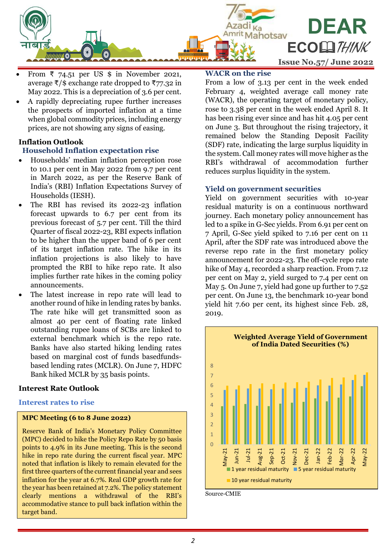

- From  $\overline{x}$  74.51 per US \$ in November 2021, average  $\bar{\tau}/\hat{s}$  exchange rate dropped to  $\bar{\tau}$ 77.32 in May 2022. This is a depreciation of 3.6 per cent.
- A rapidly depreciating rupee further increases the prospects of imported inflation at a time when global commodity prices, including energy prices, are not showing any signs of easing.

# **Inflation Outlook**

# **Household Inflation expectation rise**

- Households' median inflation perception rose to 10.1 per cent in May 2022 from 9.7 per cent in March 2022, as per the Reserve Bank of India's (RBI) Inflation Expectations Survey of Households (IESH).
- The RBI has revised its 2022-23 inflation forecast upwards to 6.7 per cent from its previous forecast of 5.7 per cent. Till the third Quarter of fiscal 2022-23, RBI expects inflation to be higher than the upper band of 6 per cent of its target inflation rate. The hike in its inflation projections is also likely to have prompted the RBI to hike repo rate. It also implies further rate hikes in the coming policy announcements.
- The latest increase in repo rate will lead to another round of hike in lending rates by banks. The rate hike will get transmitted soon as almost 40 per cent of floating rate linked outstanding rupee loans of SCBs are linked to external benchmark which is the repo rate. Banks have also started hiking lending rates based on marginal cost of funds basedfundsbased lending rates (MCLR). On June 7, HDFC Bank hiked MCLR by 35 basis points.

# **Interest Rate Outlook**

#### **Interest rates to rise**

#### **MPC Meeting (6 to 8 June 2022)**

Reserve Bank of India's Monetary Policy Committee (MPC) decided to hike the Policy Repo Rate by 50 basis points to 4.9% in its June meeting. This is the second hike in repo rate during the current fiscal year. MPC noted that inflation is likely to remain elevated for the first three quarters of the current financial year and sees inflation for the year at 6.7%. Real GDP growth rate for the year has been retained at 7.2%. The policy statement clearly mentions a withdrawal of the RBI's accommodative stance to pull back inflation within the target band.

#### **WACR on the rise**

From a low of 3.13 per cent in the week ended February 4, weighted average call money rate (WACR), the operating target of monetary policy, rose to 3.38 per cent in the week ended April 8. It has been rising ever since and has hit 4.05 per cent on June 3. But throughout the rising trajectory, it remained below the Standing Deposit Facility (SDF) rate, indicating the large surplus liquidity in the system. Call money rates will move higher as the RBI's withdrawal of accommodation further reduces surplus liquidity in the system.

## **Yield on government securities**

Yield on government securities with 10-year residual maturity is on a continuous northward journey. Each monetary policy announcement has led to a spike in G-Sec yields. From 6.91 per cent on 7 April, G-Sec yield spiked to 7.16 per cent on 11 April, after the SDF rate was introduced above the reverse repo rate in the first monetary policy announcement for 2022-23. The off-cycle repo rate hike of May 4, recorded a sharp reaction. From 7.12 per cent on May 2, yield surged to 7.4 per cent on May 5. On June 7, yield had gone up further to 7.52 per cent. On June 13, the benchmark 10-year bond yield hit 7.60 per cent, its highest since Feb. 28, 2019.



Source-CMIE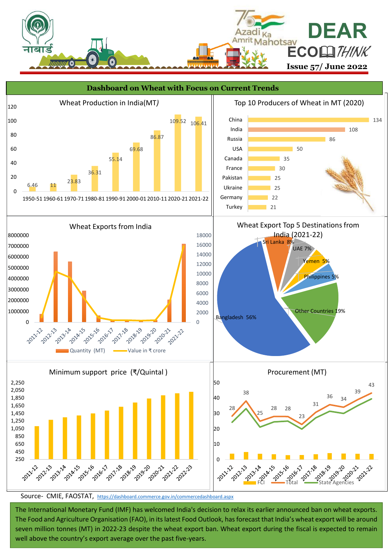



Source- CMIE, FAOSTAT, <https://dashboard.commerce.gov.in/commercedashboard.aspx>

 **3** well above the country's export average over the past five-years. The International Monetary Fund (IMF) has welcomed India's decision to relax its earlier announced ban on wheat exports. The Food and Agriculture Organisation (FAO), in its latest Food Outlook, has forecast that India's wheat export will be around seven million tonnes (MT) in 2022-23 despite the wheat export ban. Wheat export during the fiscal is expected to remain